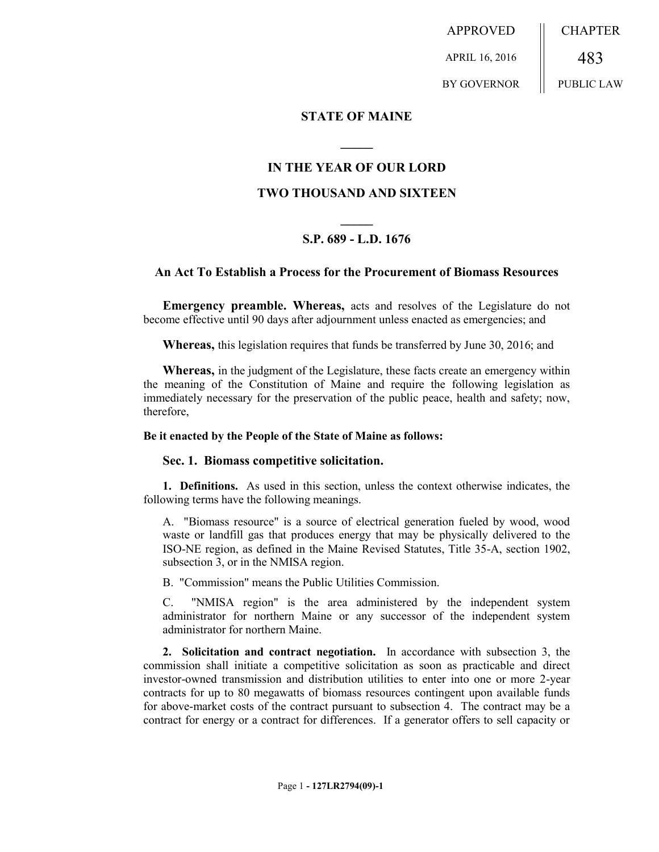APPROVED APRIL 16, 2016 BY GOVERNOR **CHAPTER** 483 PUBLIC LAW

# **STATE OF MAINE**

# **IN THE YEAR OF OUR LORD**

**\_\_\_\_\_**

# **TWO THOUSAND AND SIXTEEN**

# **\_\_\_\_\_ S.P. 689 - L.D. 1676**

## **An Act To Establish a Process for the Procurement of Biomass Resources**

**Emergency preamble. Whereas,** acts and resolves of the Legislature do not become effective until 90 days after adjournment unless enacted as emergencies; and

**Whereas,** this legislation requires that funds be transferred by June 30, 2016; and

**Whereas,** in the judgment of the Legislature, these facts create an emergency within the meaning of the Constitution of Maine and require the following legislation as immediately necessary for the preservation of the public peace, health and safety; now, therefore,

## **Be it enacted by the People of the State of Maine as follows:**

## **Sec. 1. Biomass competitive solicitation.**

**1. Definitions.** As used in this section, unless the context otherwise indicates, the following terms have the following meanings.

A. "Biomass resource" is a source of electrical generation fueled by wood, wood waste or landfill gas that produces energy that may be physically delivered to the ISO-NE region, as defined in the Maine Revised Statutes, Title 35-A, section 1902, subsection 3, or in the NMISA region.

B. "Commission" means the Public Utilities Commission.

C. "NMISA region" is the area administered by the independent system administrator for northern Maine or any successor of the independent system administrator for northern Maine.

**2. Solicitation and contract negotiation.** In accordance with subsection 3, the commission shall initiate a competitive solicitation as soon as practicable and direct investor-owned transmission and distribution utilities to enter into one or more 2-year contracts for up to 80 megawatts of biomass resources contingent upon available funds for above-market costs of the contract pursuant to subsection 4. The contract may be a contract for energy or a contract for differences. If a generator offers to sell capacity or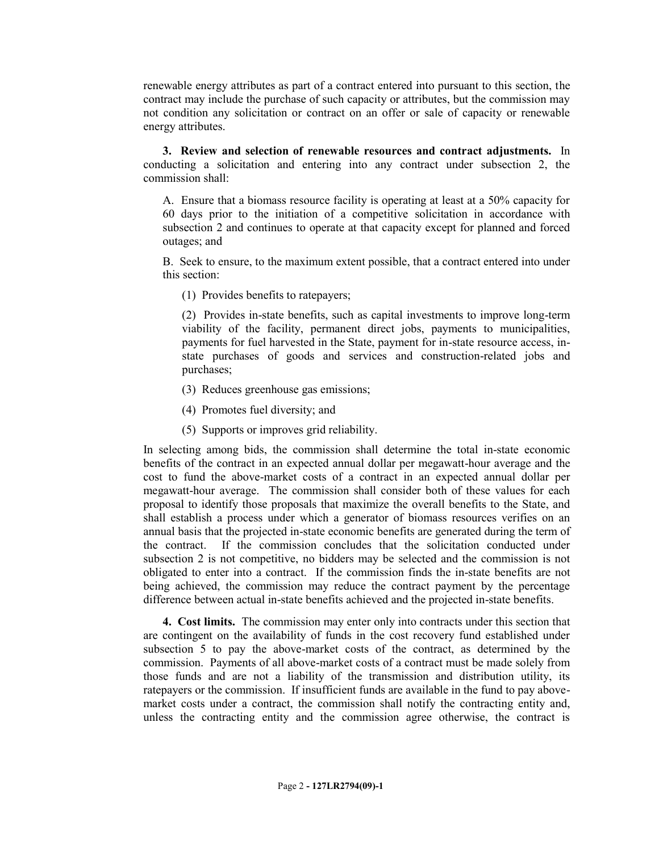renewable energy attributes as part of a contract entered into pursuant to this section, the contract may include the purchase of such capacity or attributes, but the commission may not condition any solicitation or contract on an offer or sale of capacity or renewable energy attributes.

**3. Review and selection of renewable resources and contract adjustments.** In conducting a solicitation and entering into any contract under subsection 2, the commission shall:

A. Ensure that a biomass resource facility is operating at least at a 50% capacity for 60 days prior to the initiation of a competitive solicitation in accordance with subsection 2 and continues to operate at that capacity except for planned and forced outages; and

B. Seek to ensure, to the maximum extent possible, that a contract entered into under this section:

(1) Provides benefits to ratepayers;

(2) Provides in-state benefits, such as capital investments to improve long-term viability of the facility, permanent direct jobs, payments to municipalities, payments for fuel harvested in the State, payment for in-state resource access, instate purchases of goods and services and construction-related jobs and purchases;

- (3) Reduces greenhouse gas emissions;
- (4) Promotes fuel diversity; and
- (5) Supports or improves grid reliability.

In selecting among bids, the commission shall determine the total in-state economic benefits of the contract in an expected annual dollar per megawatt-hour average and the cost to fund the above-market costs of a contract in an expected annual dollar per megawatt-hour average. The commission shall consider both of these values for each proposal to identify those proposals that maximize the overall benefits to the State, and shall establish a process under which a generator of biomass resources verifies on an annual basis that the projected in-state economic benefits are generated during the term of the contract. If the commission concludes that the solicitation conducted under subsection 2 is not competitive, no bidders may be selected and the commission is not obligated to enter into a contract. If the commission finds the in-state benefits are not being achieved, the commission may reduce the contract payment by the percentage difference between actual in-state benefits achieved and the projected in-state benefits.

**4. Cost limits.** The commission may enter only into contracts under this section that are contingent on the availability of funds in the cost recovery fund established under subsection 5 to pay the above-market costs of the contract, as determined by the commission. Payments of all above-market costs of a contract must be made solely from those funds and are not a liability of the transmission and distribution utility, its ratepayers or the commission. If insufficient funds are available in the fund to pay abovemarket costs under a contract, the commission shall notify the contracting entity and, unless the contracting entity and the commission agree otherwise, the contract is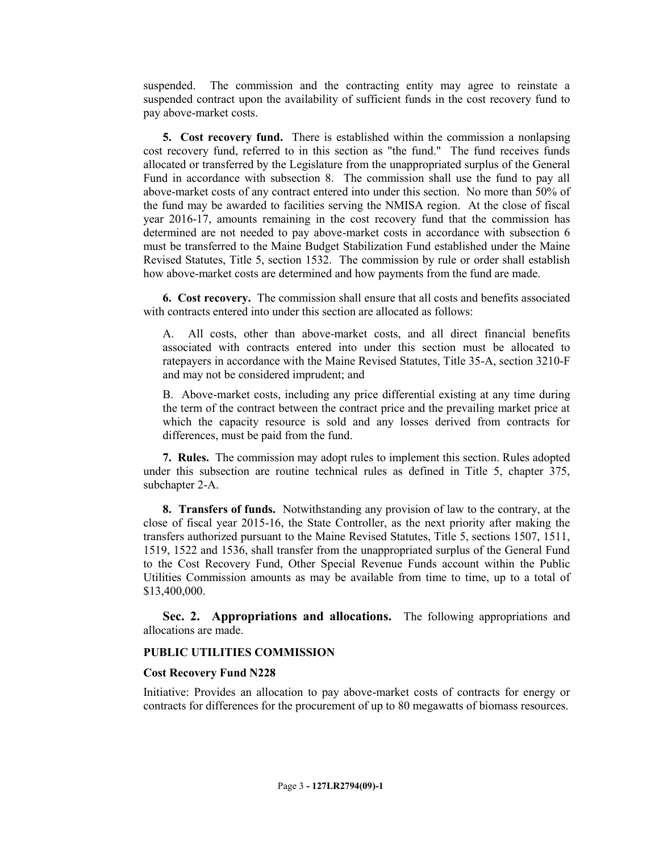suspended. The commission and the contracting entity may agree to reinstate a suspended contract upon the availability of sufficient funds in the cost recovery fund to pay above-market costs.

**5. Cost recovery fund.** There is established within the commission a nonlapsing cost recovery fund, referred to in this section as "the fund." The fund receives funds allocated or transferred by the Legislature from the unappropriated surplus of the General Fund in accordance with subsection 8. The commission shall use the fund to pay all above-market costs of any contract entered into under this section. No more than 50% of the fund may be awarded to facilities serving the NMISA region. At the close of fiscal year 2016-17, amounts remaining in the cost recovery fund that the commission has determined are not needed to pay above-market costs in accordance with subsection 6 must be transferred to the Maine Budget Stabilization Fund established under the Maine Revised Statutes, Title 5, section 1532. The commission by rule or order shall establish how above-market costs are determined and how payments from the fund are made.

**6. Cost recovery.** The commission shall ensure that all costs and benefits associated with contracts entered into under this section are allocated as follows:

A. All costs, other than above-market costs, and all direct financial benefits associated with contracts entered into under this section must be allocated to ratepayers in accordance with the Maine Revised Statutes, Title 35-A, section 3210-F and may not be considered imprudent; and

B. Above-market costs, including any price differential existing at any time during the term of the contract between the contract price and the prevailing market price at which the capacity resource is sold and any losses derived from contracts for differences, must be paid from the fund.

**7. Rules.** The commission may adopt rules to implement this section. Rules adopted under this subsection are routine technical rules as defined in Title 5, chapter 375, subchapter 2-A.

**8. Transfers of funds.** Notwithstanding any provision of law to the contrary, at the close of fiscal year 2015-16, the State Controller, as the next priority after making the transfers authorized pursuant to the Maine Revised Statutes, Title 5, sections 1507, 1511, 1519, 1522 and 1536, shall transfer from the unappropriated surplus of the General Fund to the Cost Recovery Fund, Other Special Revenue Funds account within the Public Utilities Commission amounts as may be available from time to time, up to a total of \$13,400,000.

**Sec. 2. Appropriations and allocations.** The following appropriations and allocations are made.

## **PUBLIC UTILITIES COMMISSION**

## **Cost Recovery Fund N228**

Initiative: Provides an allocation to pay above-market costs of contracts for energy or contracts for differences for the procurement of up to 80 megawatts of biomass resources.